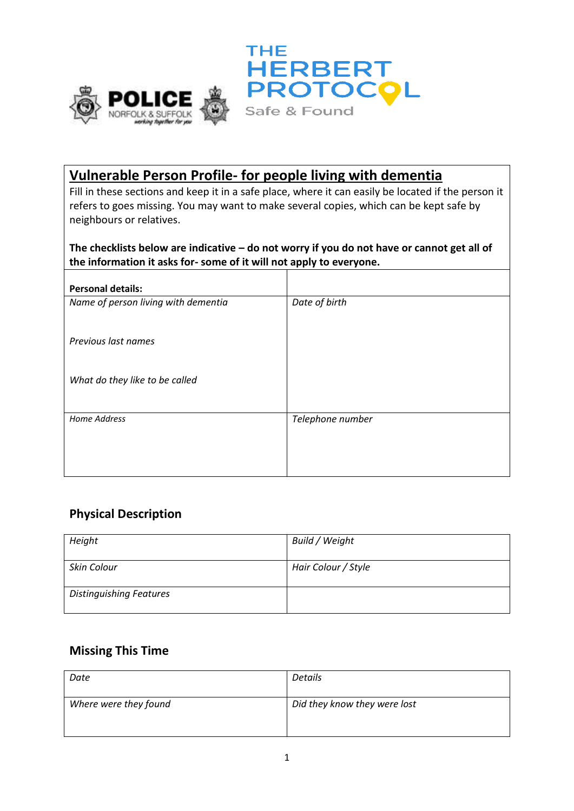



## **Vulnerable Person Profile- for people living with dementia**

Fill in these sections and keep it in a safe place, where it can easily be located if the person it refers to goes missing. You may want to make several copies, which can be kept safe by neighbours or relatives.

#### **The checklists below are indicative – do not worry if you do not have or cannot get all of the information it asks for- some of it will not apply to everyone.**

| <b>Personal details:</b>            |                  |
|-------------------------------------|------------------|
| Name of person living with dementia | Date of birth    |
|                                     |                  |
| Previous last names                 |                  |
|                                     |                  |
| What do they like to be called      |                  |
|                                     |                  |
| <b>Home Address</b>                 | Telephone number |
|                                     |                  |
|                                     |                  |
|                                     |                  |

### **Physical Description**

| Height                         | Build / Weight      |
|--------------------------------|---------------------|
| Skin Colour                    | Hair Colour / Style |
| <b>Distinguishing Features</b> |                     |

#### **Missing This Time**

| Date                  | Details                      |
|-----------------------|------------------------------|
| Where were they found | Did they know they were lost |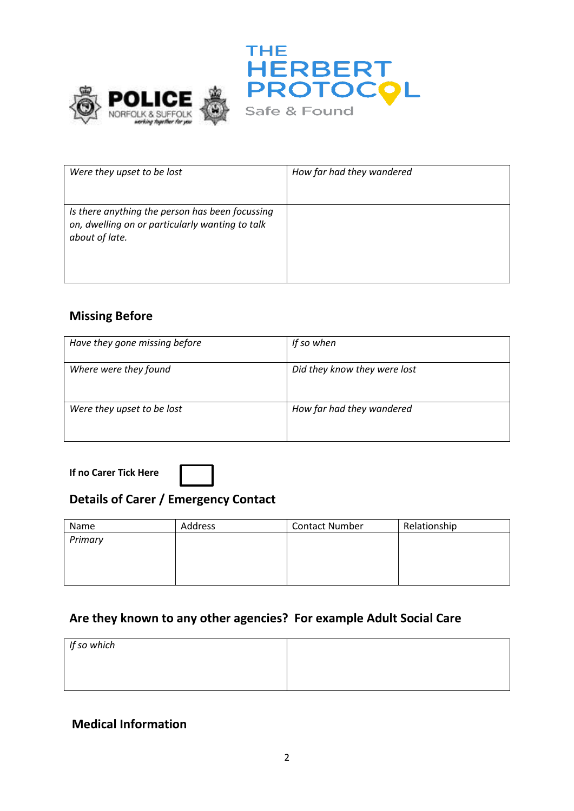



| Were they upset to be lost                                                                                           | How far had they wandered |
|----------------------------------------------------------------------------------------------------------------------|---------------------------|
| Is there anything the person has been focussing<br>on, dwelling on or particularly wanting to talk<br>about of late. |                           |

### **Missing Before**

| Have they gone missing before | If so when                   |
|-------------------------------|------------------------------|
| Where were they found         | Did they know they were lost |
| Were they upset to be lost    | How far had they wandered    |

**If no Carer Tick Here** 

### **Details of Carer / Emergency Contact**

| Name    | Address | <b>Contact Number</b> | Relationship |
|---------|---------|-----------------------|--------------|
| Primary |         |                       |              |
|         |         |                       |              |
|         |         |                       |              |
|         |         |                       |              |

### **Are they known to any other agencies? For example Adult Social Care**

| If so which |  |
|-------------|--|
|             |  |
|             |  |

### **Medical Information**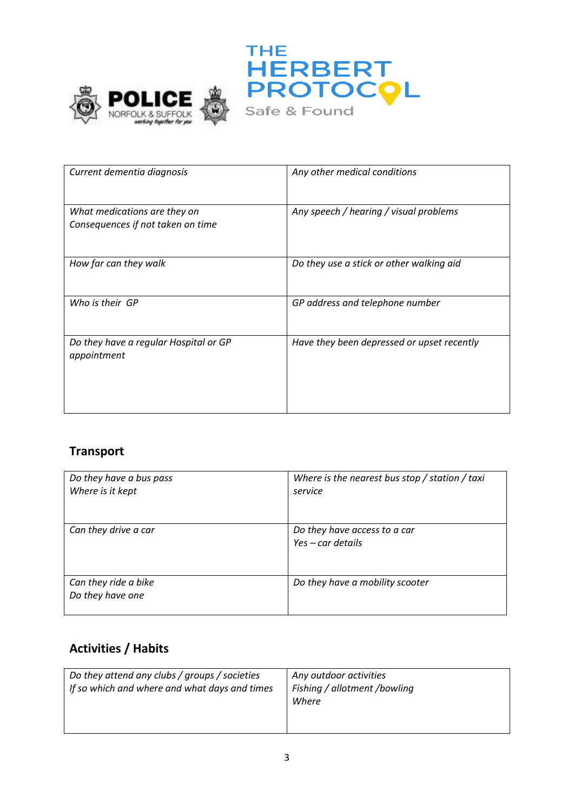



| Current dementia diagnosis                                        | Any other medical conditions               |
|-------------------------------------------------------------------|--------------------------------------------|
| What medications are they on<br>Consequences if not taken on time | Any speech / hearing / visual problems     |
| How far can they walk                                             | Do they use a stick or other walking aid   |
| Who is their GP                                                   | GP address and telephone number            |
| Do they have a regular Hospital or GP<br>appointment              | Have they been depressed or upset recently |

# **Transport**

| Do they have a bus pass<br>Where is it kept | Where is the nearest bus stop $/$ station $/$ taxi<br>service |
|---------------------------------------------|---------------------------------------------------------------|
| Can they drive a car                        | Do they have access to a car<br>$Yes - car details$           |
| Can they ride a bike<br>Do they have one    | Do they have a mobility scooter                               |

### **Activities / Habits**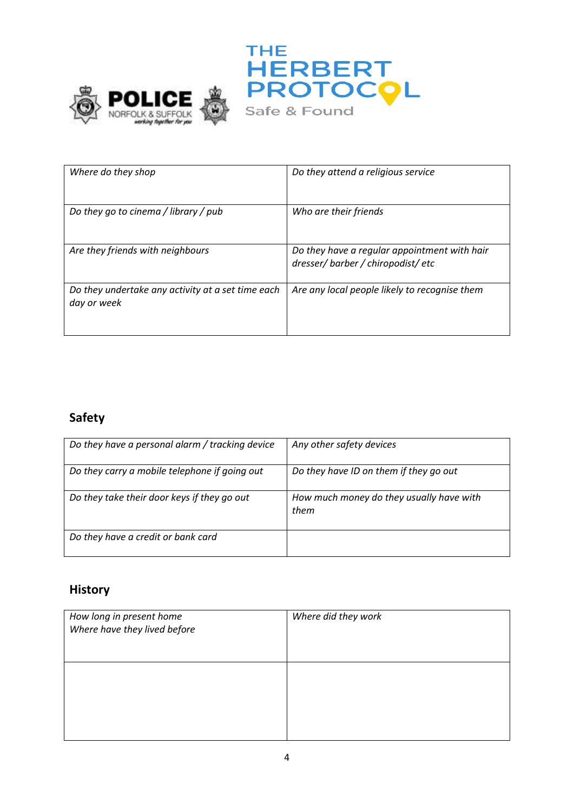



| Where do they shop                                               | Do they attend a religious service                                             |
|------------------------------------------------------------------|--------------------------------------------------------------------------------|
| Do they go to cinema / library / pub                             | Who are their friends                                                          |
| Are they friends with neighbours                                 | Do they have a regular appointment with hair<br>dresser/barber/chiropodist/etc |
| Do they undertake any activity at a set time each<br>day or week | Are any local people likely to recognise them                                  |

# **Safety**

| Do they have a personal alarm / tracking device | Any other safety devices                         |
|-------------------------------------------------|--------------------------------------------------|
| Do they carry a mobile telephone if going out   | Do they have ID on them if they go out           |
| Do they take their door keys if they go out     | How much money do they usually have with<br>them |
| Do they have a credit or bank card              |                                                  |

# **History**

| How long in present home<br>Where have they lived before | Where did they work |
|----------------------------------------------------------|---------------------|
|                                                          |                     |